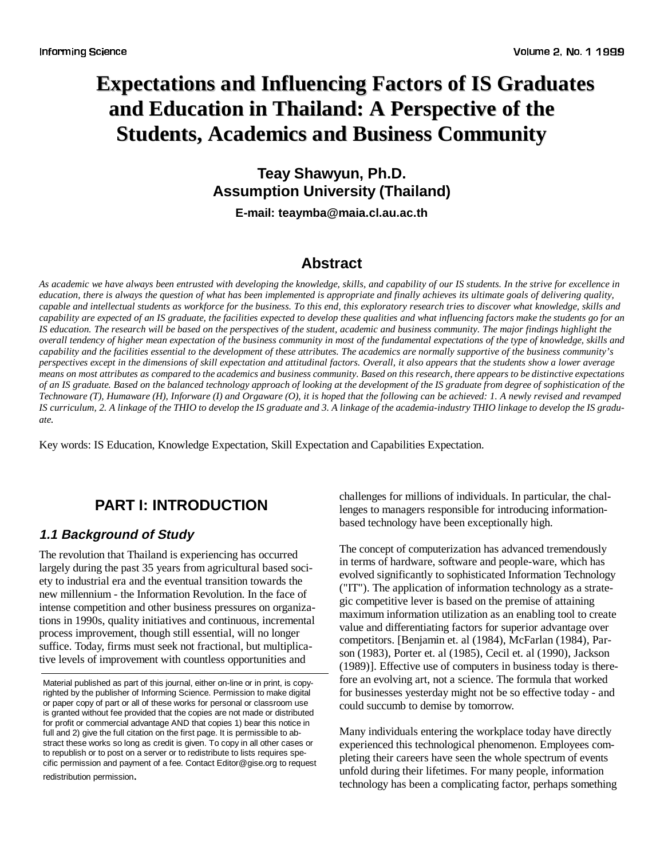# **Expectations and Influencing Factors of IS Graduates and Education in Thailand: A Perspective of the Students, Academics and Business Community**

## **Teay Shawyun, Ph.D. Assumption University (Thailand) E-mail: teaymba@maia.cl.au.ac.th**

### **Abstract**

*As academic we have always been entrusted with developing the knowledge, skills, and capability of our IS students. In the strive for excellence in education, there is always the question of what has been implemented is appropriate and finally achieves its ultimate goals of delivering quality, capable and intellectual students as workforce for the business. To this end, this exploratory research tries to discover what knowledge, skills and capability are expected of an IS graduate, the facilities expected to develop these qualities and what influencing factors make the students go for an IS education. The research will be based on the perspectives of the student, academic and business community. The major findings highlight the overall tendency of higher mean expectation of the business community in most of the fundamental expectations of the type of knowledge, skills and capability and the facilities essential to the development of these attributes. The academics are normally supportive of the business community's perspectives except in the dimensions of skill expectation and attitudinal factors. Overall, it also appears that the students show a lower average means on most attributes as compared to the academics and business community. Based on this research, there appears to be distinctive expectations of an IS graduate. Based on the balanced technology approach of looking at the development of the IS graduate from degree of sophistication of the Technoware (T), Humaware (H), Inforware (I) and Orgaware (O), it is hoped that the following can be achieved: 1. A newly revised and revamped IS curriculum, 2. A linkage of the THIO to develop the IS graduate and 3. A linkage of the academia-industry THIO linkage to develop the IS graduate.* 

Key words: IS Education, Knowledge Expectation, Skill Expectation and Capabilities Expectation.

## **PART I: INTRODUCTION**

### **1.1 Background of Study**

The revolution that Thailand is experiencing has occurred largely during the past 35 years from agricultural based society to industrial era and the eventual transition towards the new millennium - the Information Revolution. In the face of intense competition and other business pressures on organizations in 1990s, quality initiatives and continuous, incremental process improvement, though still essential, will no longer suffice. Today, firms must seek not fractional, but multiplicative levels of improvement with countless opportunities and

challenges for millions of individuals. In particular, the challenges to managers responsible for introducing informationbased technology have been exceptionally high.

The concept of computerization has advanced tremendously in terms of hardware, software and people-ware, which has evolved significantly to sophisticated Information Technology ("IT"). The application of information technology as a strategic competitive lever is based on the premise of attaining maximum information utilization as an enabling tool to create value and differentiating factors for superior advantage over competitors. [Benjamin et. al (1984), McFarlan (1984), Parson (1983), Porter et. al (1985), Cecil et. al (1990), Jackson (1989)]. Effective use of computers in business today is therefore an evolving art, not a science. The formula that worked for businesses yesterday might not be so effective today - and could succumb to demise by tomorrow.

Many individuals entering the workplace today have directly experienced this technological phenomenon. Employees completing their careers have seen the whole spectrum of events unfold during their lifetimes. For many people, information technology has been a complicating factor, perhaps something

Material published as part of this journal, either on-line or in print, is copyrighted by the publisher of Informing Science. Permission to make digital or paper copy of part or all of these works for personal or classroom use is granted without fee provided that the copies are not made or distributed for profit or commercial advantage AND that copies 1) bear this notice in full and 2) give the full citation on the first page. It is permissible to abstract these works so long as credit is given. To copy in all other cases or to republish or to post on a server or to redistribute to lists requires specific permission and payment of a fee. Contact Editor@gise.org to request redistribution permission.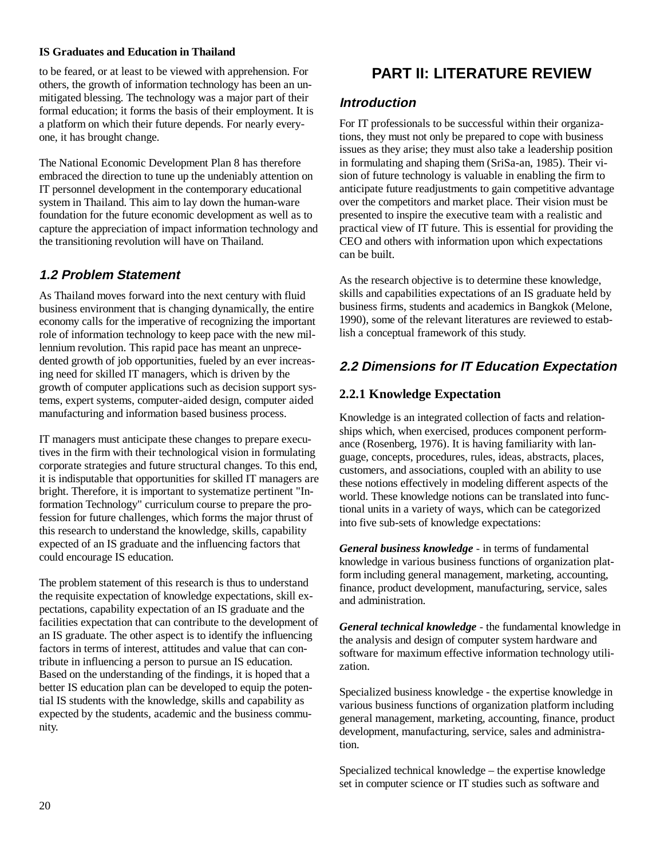to be feared, or at least to be viewed with apprehension. For others, the growth of information technology has been an unmitigated blessing. The technology was a major part of their formal education; it forms the basis of their employment. It is a platform on which their future depends. For nearly everyone, it has brought change.

The National Economic Development Plan 8 has therefore embraced the direction to tune up the undeniably attention on IT personnel development in the contemporary educational system in Thailand. This aim to lay down the human-ware foundation for the future economic development as well as to capture the appreciation of impact information technology and the transitioning revolution will have on Thailand.

## **1.2 Problem Statement**

As Thailand moves forward into the next century with fluid business environment that is changing dynamically, the entire economy calls for the imperative of recognizing the important role of information technology to keep pace with the new millennium revolution. This rapid pace has meant an unprecedented growth of job opportunities, fueled by an ever increasing need for skilled IT managers, which is driven by the growth of computer applications such as decision support systems, expert systems, computer-aided design, computer aided manufacturing and information based business process.

IT managers must anticipate these changes to prepare executives in the firm with their technological vision in formulating corporate strategies and future structural changes. To this end, it is indisputable that opportunities for skilled IT managers are bright. Therefore, it is important to systematize pertinent "Information Technology" curriculum course to prepare the profession for future challenges, which forms the major thrust of this research to understand the knowledge, skills, capability expected of an IS graduate and the influencing factors that could encourage IS education.

The problem statement of this research is thus to understand the requisite expectation of knowledge expectations, skill expectations, capability expectation of an IS graduate and the facilities expectation that can contribute to the development of an IS graduate. The other aspect is to identify the influencing factors in terms of interest, attitudes and value that can contribute in influencing a person to pursue an IS education. Based on the understanding of the findings, it is hoped that a better IS education plan can be developed to equip the potential IS students with the knowledge, skills and capability as expected by the students, academic and the business community.

## **PART II: LITERATURE REVIEW**

## **Introduction**

For IT professionals to be successful within their organizations, they must not only be prepared to cope with business issues as they arise; they must also take a leadership position in formulating and shaping them (SriSa-an, 1985). Their vision of future technology is valuable in enabling the firm to anticipate future readjustments to gain competitive advantage over the competitors and market place. Their vision must be presented to inspire the executive team with a realistic and practical view of IT future. This is essential for providing the CEO and others with information upon which expectations can be built.

As the research objective is to determine these knowledge, skills and capabilities expectations of an IS graduate held by business firms, students and academics in Bangkok (Melone, 1990), some of the relevant literatures are reviewed to establish a conceptual framework of this study.

## **2.2 Dimensions for IT Education Expectation**

## **2.2.1 Knowledge Expectation**

Knowledge is an integrated collection of facts and relationships which, when exercised, produces component performance (Rosenberg, 1976). It is having familiarity with language, concepts, procedures, rules, ideas, abstracts, places, customers, and associations, coupled with an ability to use these notions effectively in modeling different aspects of the world. These knowledge notions can be translated into functional units in a variety of ways, which can be categorized into five sub-sets of knowledge expectations:

*General business knowledge* - in terms of fundamental knowledge in various business functions of organization platform including general management, marketing, accounting, finance, product development, manufacturing, service, sales and administration.

*General technical knowledge* - the fundamental knowledge in the analysis and design of computer system hardware and software for maximum effective information technology utilization.

Specialized business knowledge - the expertise knowledge in various business functions of organization platform including general management, marketing, accounting, finance, product development, manufacturing, service, sales and administration.

Specialized technical knowledge – the expertise knowledge set in computer science or IT studies such as software and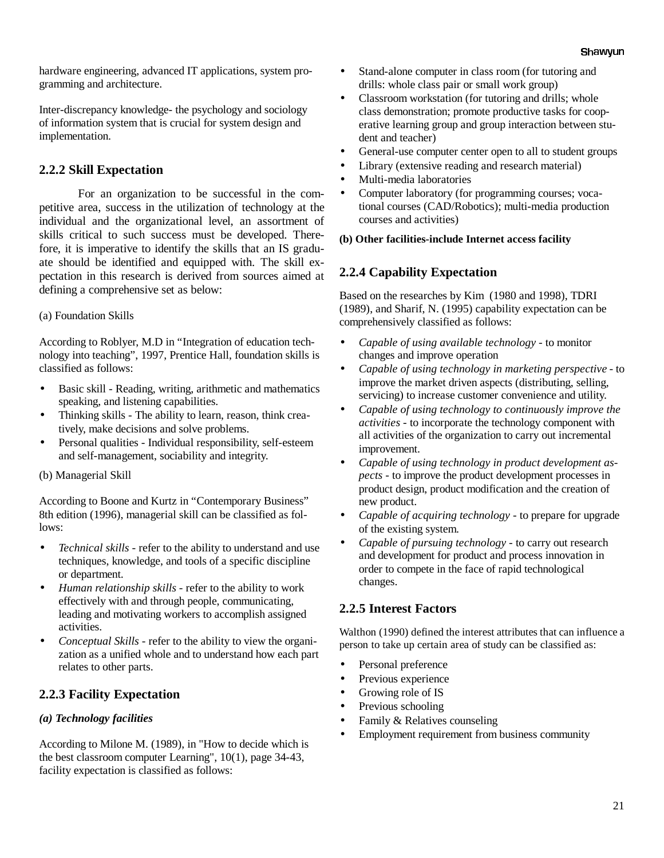hardware engineering, advanced IT applications, system programming and architecture.

Inter-discrepancy knowledge- the psychology and sociology of information system that is crucial for system design and implementation.

### **2.2.2 Skill Expectation**

For an organization to be successful in the competitive area, success in the utilization of technology at the individual and the organizational level, an assortment of skills critical to such success must be developed. Therefore, it is imperative to identify the skills that an IS graduate should be identified and equipped with. The skill expectation in this research is derived from sources aimed at defining a comprehensive set as below:

### (a) Foundation Skills

According to Roblyer, M.D in "Integration of education technology into teaching", 1997, Prentice Hall, foundation skills is classified as follows:

- Basic skill Reading, writing, arithmetic and mathematics speaking, and listening capabilities.
- Thinking skills The ability to learn, reason, think creatively, make decisions and solve problems.
- Personal qualities Individual responsibility, self-esteem and self-management, sociability and integrity.
- (b) Managerial Skill

According to Boone and Kurtz in "Contemporary Business" 8th edition (1996), managerial skill can be classified as follows:

- *Technical skills*  refer to the ability to understand and use techniques, knowledge, and tools of a specific discipline or department.
- *Human relationship skills*  refer to the ability to work effectively with and through people, communicating, leading and motivating workers to accomplish assigned activities.
- *Conceptual Skills*  refer to the ability to view the organization as a unified whole and to understand how each part relates to other parts.

### **2.2.3 Facility Expectation**

### *(a) Technology facilities*

According to Milone M. (1989), in "How to decide which is the best classroom computer Learning", 10(1), page 34-43, facility expectation is classified as follows:

- Stand-alone computer in class room (for tutoring and drills: whole class pair or small work group)
- Classroom workstation (for tutoring and drills; whole class demonstration; promote productive tasks for cooperative learning group and group interaction between student and teacher)
- General-use computer center open to all to student groups
- Library (extensive reading and research material)
- Multi-media laboratories
- Computer laboratory (for programming courses; vocational courses (CAD/Robotics); multi-media production courses and activities)

#### **(b) Other facilities-include Internet access facility**

### **2.2.4 Capability Expectation**

Based on the researches by Kim (1980 and 1998), TDRI (1989), and Sharif, N. (1995) capability expectation can be comprehensively classified as follows:

- *Capable of using available technology*  to monitor changes and improve operation
- *Capable of using technology in marketing perspective*  to improve the market driven aspects (distributing, selling, servicing) to increase customer convenience and utility.
- *Capable of using technology to continuously improve the activities* - to incorporate the technology component with all activities of the organization to carry out incremental improvement.
- *Capable of using technology in product development aspects -* to improve the product development processes in product design, product modification and the creation of new product.
- *Capable of acquiring technology*  to prepare for upgrade of the existing system.
- *Capable of pursuing technology*  to carry out research and development for product and process innovation in order to compete in the face of rapid technological changes.

### **2.2.5 Interest Factors**

Walthon (1990) defined the interest attributes that can influence a person to take up certain area of study can be classified as:

- Personal preference
- Previous experience
- Growing role of IS
- Previous schooling
- Family & Relatives counseling
- Employment requirement from business community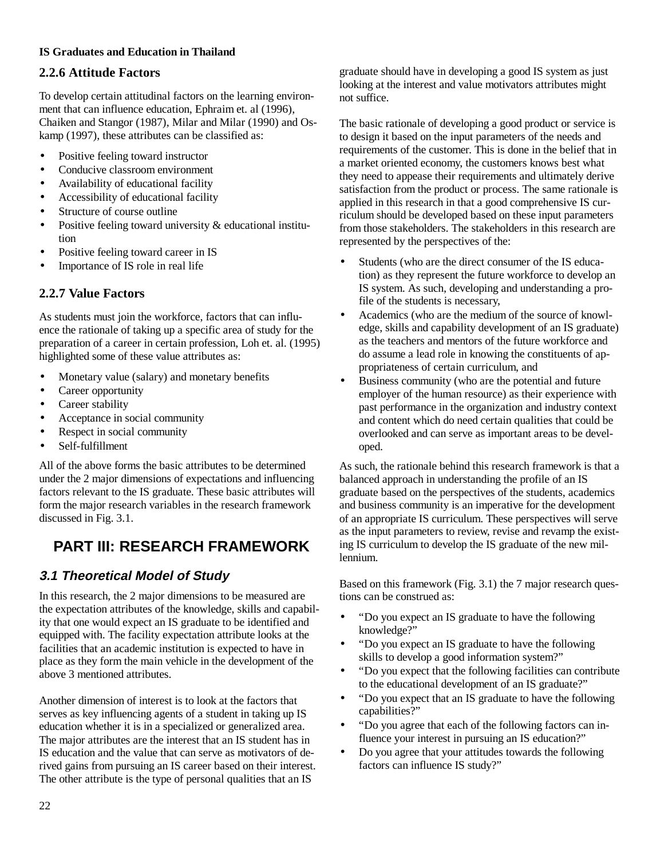### **2.2.6 Attitude Factors**

To develop certain attitudinal factors on the learning environment that can influence education, Ephraim et. al (1996), Chaiken and Stangor (1987), Milar and Milar (1990) and Oskamp (1997), these attributes can be classified as:

- Positive feeling toward instructor
- Conducive classroom environment
- Availability of educational facility
- Accessibility of educational facility
- Structure of course outline
- Positive feeling toward university & educational institution
- Positive feeling toward career in IS
- Importance of IS role in real life

### **2.2.7 Value Factors**

As students must join the workforce, factors that can influence the rationale of taking up a specific area of study for the preparation of a career in certain profession, Loh et. al. (1995) highlighted some of these value attributes as:

- Monetary value (salary) and monetary benefits
- Career opportunity
- Career stability
- Acceptance in social community
- Respect in social community
- Self-fulfillment

All of the above forms the basic attributes to be determined under the 2 major dimensions of expectations and influencing factors relevant to the IS graduate. These basic attributes will form the major research variables in the research framework discussed in Fig. 3.1.

## **PART III: RESEARCH FRAMEWORK**

### **3.1 Theoretical Model of Study**

In this research, the 2 major dimensions to be measured are the expectation attributes of the knowledge, skills and capability that one would expect an IS graduate to be identified and equipped with. The facility expectation attribute looks at the facilities that an academic institution is expected to have in place as they form the main vehicle in the development of the above 3 mentioned attributes.

Another dimension of interest is to look at the factors that serves as key influencing agents of a student in taking up IS education whether it is in a specialized or generalized area. The major attributes are the interest that an IS student has in IS education and the value that can serve as motivators of derived gains from pursuing an IS career based on their interest. The other attribute is the type of personal qualities that an IS

graduate should have in developing a good IS system as just looking at the interest and value motivators attributes might not suffice.

The basic rationale of developing a good product or service is to design it based on the input parameters of the needs and requirements of the customer. This is done in the belief that in a market oriented economy, the customers knows best what they need to appease their requirements and ultimately derive satisfaction from the product or process. The same rationale is applied in this research in that a good comprehensive IS curriculum should be developed based on these input parameters from those stakeholders. The stakeholders in this research are represented by the perspectives of the:

- Students (who are the direct consumer of the IS education) as they represent the future workforce to develop an IS system. As such, developing and understanding a profile of the students is necessary,
- Academics (who are the medium of the source of knowledge, skills and capability development of an IS graduate) as the teachers and mentors of the future workforce and do assume a lead role in knowing the constituents of appropriateness of certain curriculum, and
- Business community (who are the potential and future employer of the human resource) as their experience with past performance in the organization and industry context and content which do need certain qualities that could be overlooked and can serve as important areas to be developed.

As such, the rationale behind this research framework is that a balanced approach in understanding the profile of an IS graduate based on the perspectives of the students, academics and business community is an imperative for the development of an appropriate IS curriculum. These perspectives will serve as the input parameters to review, revise and revamp the existing IS curriculum to develop the IS graduate of the new millennium.

Based on this framework (Fig. 3.1) the 7 major research questions can be construed as:

- "Do you expect an IS graduate to have the following knowledge?"
- "Do you expect an IS graduate to have the following skills to develop a good information system?"
- "Do you expect that the following facilities can contribute to the educational development of an IS graduate?"
- "Do you expect that an IS graduate to have the following capabilities?"
- "Do you agree that each of the following factors can influence your interest in pursuing an IS education?"
- Do you agree that your attitudes towards the following factors can influence IS study?"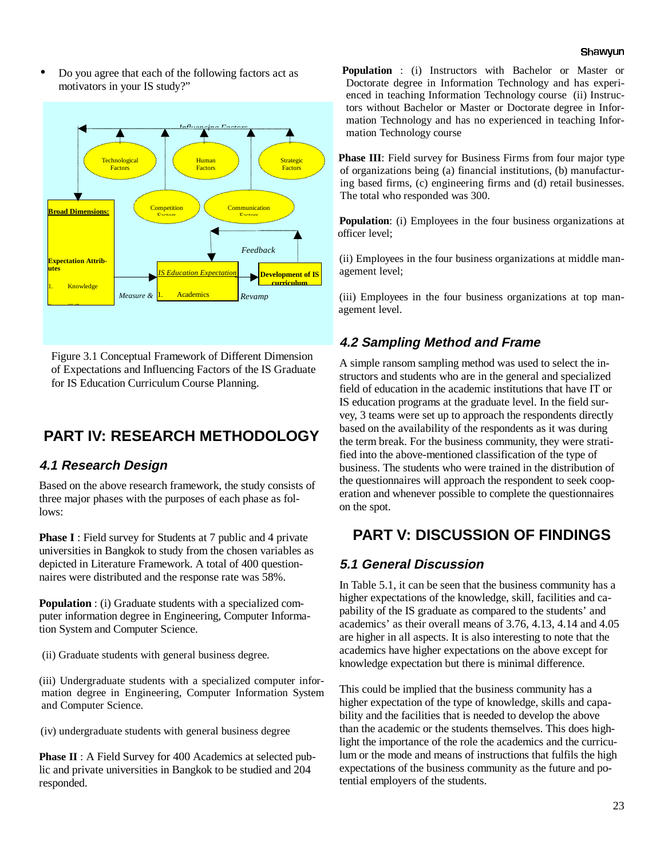• Do you agree that each of the following factors act as motivators in your IS study?"



Figure 3.1 Conceptual Framework of Different Dimension of Expectations and Influencing Factors of the IS Graduate for IS Education Curriculum Course Planning.

## **PART IV: RESEARCH METHODOLOGY**

### **4.1 Research Design**

Based on the above research framework, the study consists of three major phases with the purposes of each phase as follows:

**Phase I** : Field survey for Students at 7 public and 4 private universities in Bangkok to study from the chosen variables as depicted in Literature Framework. A total of 400 questionnaires were distributed and the response rate was 58%.

**Population** : (i) Graduate students with a specialized computer information degree in Engineering, Computer Information System and Computer Science.

(ii) Graduate students with general business degree.

(iii) Undergraduate students with a specialized computer information degree in Engineering, Computer Information System and Computer Science.

(iv) undergraduate students with general business degree

**Phase II** : A Field Survey for 400 Academics at selected public and private universities in Bangkok to be studied and 204 responded.

 **Population** : (i) Instructors with Bachelor or Master or Doctorate degree in Information Technology and has experienced in teaching Information Technology course (ii) Instructors without Bachelor or Master or Doctorate degree in Information Technology and has no experienced in teaching Information Technology course

**Phase III**: Field survey for Business Firms from four major type of organizations being (a) financial institutions, (b) manufacturing based firms, (c) engineering firms and (d) retail businesses. The total who responded was 300.

**Population**: (i) Employees in the four business organizations at officer level;

(ii) Employees in the four business organizations at middle management level;

(iii) Employees in the four business organizations at top management level.

## **4.2 Sampling Method and Frame**

A simple ransom sampling method was used to select the instructors and students who are in the general and specialized field of education in the academic institutions that have IT or IS education programs at the graduate level. In the field survey, 3 teams were set up to approach the respondents directly based on the availability of the respondents as it was during the term break. For the business community, they were stratified into the above-mentioned classification of the type of business. The students who were trained in the distribution of the questionnaires will approach the respondent to seek cooperation and whenever possible to complete the questionnaires on the spot.

## **PART V: DISCUSSION OF FINDINGS**

### **5.1 General Discussion**

In Table 5.1, it can be seen that the business community has a higher expectations of the knowledge, skill, facilities and capability of the IS graduate as compared to the students' and academics' as their overall means of 3.76, 4.13, 4.14 and 4.05 are higher in all aspects. It is also interesting to note that the academics have higher expectations on the above except for knowledge expectation but there is minimal difference.

This could be implied that the business community has a higher expectation of the type of knowledge, skills and capability and the facilities that is needed to develop the above than the academic or the students themselves. This does highlight the importance of the role the academics and the curriculum or the mode and means of instructions that fulfils the high expectations of the business community as the future and potential employers of the students.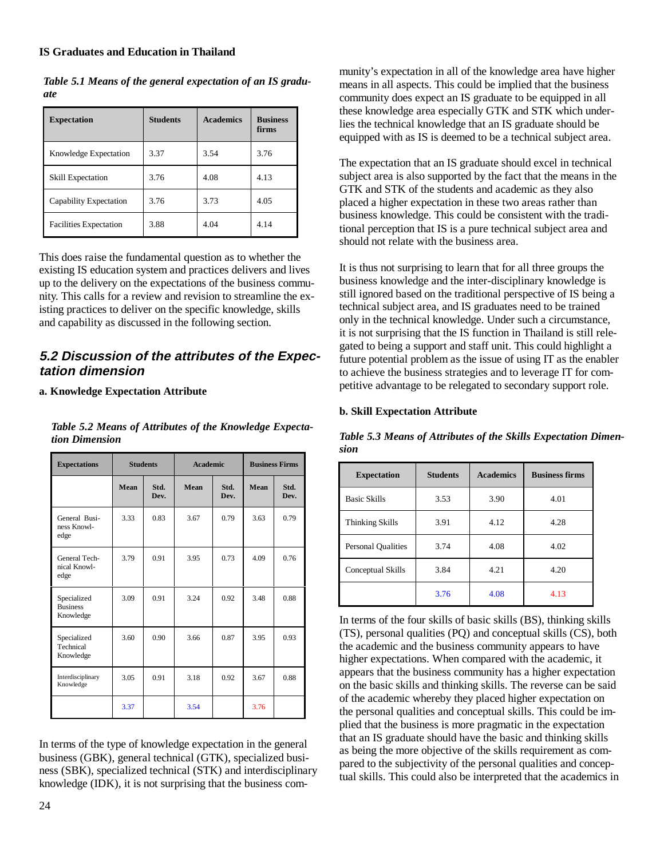*Table 5.1 Means of the general expectation of an IS graduate*

| <b>Expectation</b>            | <b>Students</b> | <b>Academics</b> | <b>Business</b><br>firms |
|-------------------------------|-----------------|------------------|--------------------------|
| Knowledge Expectation         | 3.37            | 3.54             | 3.76                     |
| <b>Skill Expectation</b>      | 3.76            | 4.08             | 4.13                     |
| Capability Expectation        | 3.76            | 3.73             | 4.05                     |
| <b>Facilities Expectation</b> | 3.88            | 4.04             | 4.14                     |

This does raise the fundamental question as to whether the existing IS education system and practices delivers and lives up to the delivery on the expectations of the business community. This calls for a review and revision to streamline the existing practices to deliver on the specific knowledge, skills and capability as discussed in the following section.

### **5.2 Discussion of the attributes of the Expectation dimension**

#### **a. Knowledge Expectation Attribute**

| <b>Expectations</b>                         | <b>Students</b> |              | <b>Academic</b> |              | <b>Business Firms</b> |              |
|---------------------------------------------|-----------------|--------------|-----------------|--------------|-----------------------|--------------|
|                                             | Mean            | Std.<br>Dev. | Mean            | Std.<br>Dev. | Mean                  | Std.<br>Dev. |
| General Busi-<br>ness Knowl-<br>edge        | 3.33            | 0.83         | 3.67            | 0.79         | 3.63                  | 0.79         |
| General Tech-<br>nical Knowl-<br>edge       | 3.79            | 0.91         | 3.95            | 0.73         | 4.09                  | 0.76         |
| Specialized<br><b>Business</b><br>Knowledge | 3.09            | 0.91         | 3.24            | 0.92         | 3.48                  | 0.88         |
| Specialized<br>Technical<br>Knowledge       | 3.60            | 0.90         | 3.66            | 0.87         | 3.95                  | 0.93         |
| Interdisciplinary<br>Knowledge              | 3.05            | 0.91         | 3.18            | 0.92         | 3.67                  | 0.88         |
|                                             | 3.37            |              | 3.54            |              | 3.76                  |              |

*Table 5.2 Means of Attributes of the Knowledge Expectation Dimension*

In terms of the type of knowledge expectation in the general business (GBK), general technical (GTK), specialized business (SBK), specialized technical (STK) and interdisciplinary knowledge (IDK), it is not surprising that the business community's expectation in all of the knowledge area have higher means in all aspects. This could be implied that the business community does expect an IS graduate to be equipped in all these knowledge area especially GTK and STK which underlies the technical knowledge that an IS graduate should be equipped with as IS is deemed to be a technical subject area.

The expectation that an IS graduate should excel in technical subject area is also supported by the fact that the means in the GTK and STK of the students and academic as they also placed a higher expectation in these two areas rather than business knowledge. This could be consistent with the traditional perception that IS is a pure technical subject area and should not relate with the business area.

It is thus not surprising to learn that for all three groups the business knowledge and the inter-disciplinary knowledge is still ignored based on the traditional perspective of IS being a technical subject area, and IS graduates need to be trained only in the technical knowledge. Under such a circumstance, it is not surprising that the IS function in Thailand is still relegated to being a support and staff unit. This could highlight a future potential problem as the issue of using IT as the enabler to achieve the business strategies and to leverage IT for competitive advantage to be relegated to secondary support role.

#### **b. Skill Expectation Attribute**

*Table 5.3 Means of Attributes of the Skills Expectation Dimension*

| <b>Expectation</b>        | <b>Students</b> | <b>Academics</b> | <b>Business firms</b> |
|---------------------------|-----------------|------------------|-----------------------|
| <b>Basic Skills</b>       | 3.53            | 3.90             | 4.01                  |
| <b>Thinking Skills</b>    | 3.91            | 4.12             | 4.28                  |
| <b>Personal Qualities</b> | 3.74            | 4.08             | 4.02                  |
| Conceptual Skills         | 3.84            | 4.21             | 4.20                  |
|                           | 3.76            | 4.08             | 4.13                  |

In terms of the four skills of basic skills (BS), thinking skills (TS), personal qualities (PQ) and conceptual skills (CS), both the academic and the business community appears to have higher expectations. When compared with the academic, it appears that the business community has a higher expectation on the basic skills and thinking skills. The reverse can be said of the academic whereby they placed higher expectation on the personal qualities and conceptual skills. This could be implied that the business is more pragmatic in the expectation that an IS graduate should have the basic and thinking skills as being the more objective of the skills requirement as compared to the subjectivity of the personal qualities and conceptual skills. This could also be interpreted that the academics in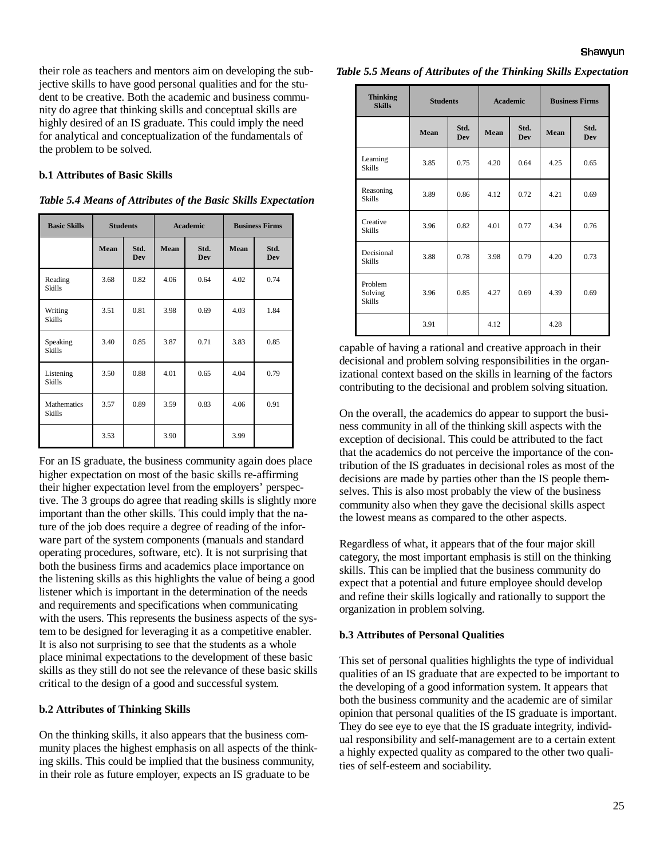their role as teachers and mentors aim on developing the subjective skills to have good personal qualities and for the student to be creative. Both the academic and business community do agree that thinking skills and conceptual skills are highly desired of an IS graduate. This could imply the need for analytical and conceptualization of the fundamentals of the problem to be solved.

#### **b.1 Attributes of Basic Skills**

*Table 5.4 Means of Attributes of the Basic Skills Expectation*

| <b>Basic Skills</b>                 |      | <b>Students</b>    |      | <b>Academic</b>    |      | <b>Business Firms</b> |
|-------------------------------------|------|--------------------|------|--------------------|------|-----------------------|
|                                     | Mean | Std.<br><b>Dev</b> | Mean | Std.<br><b>Dev</b> | Mean | Std.<br>Dev           |
| Reading<br><b>Skills</b>            | 3.68 | 0.82               | 4.06 | 0.64               | 4.02 | 0.74                  |
| Writing<br><b>Skills</b>            | 3.51 | 0.81               | 3.98 | 0.69               | 4.03 | 1.84                  |
| Speaking<br><b>Skills</b>           | 3.40 | 0.85               | 3.87 | 0.71               | 3.83 | 0.85                  |
| Listening<br><b>Skills</b>          | 3.50 | 0.88               | 4.01 | 0.65               | 4.04 | 0.79                  |
| <b>Mathematics</b><br><b>Skills</b> | 3.57 | 0.89               | 3.59 | 0.83               | 4.06 | 0.91                  |
|                                     | 3.53 |                    | 3.90 |                    | 3.99 |                       |

For an IS graduate, the business community again does place higher expectation on most of the basic skills re-affirming their higher expectation level from the employers' perspective. The 3 groups do agree that reading skills is slightly more important than the other skills. This could imply that the nature of the job does require a degree of reading of the inforware part of the system components (manuals and standard operating procedures, software, etc). It is not surprising that both the business firms and academics place importance on the listening skills as this highlights the value of being a good listener which is important in the determination of the needs and requirements and specifications when communicating with the users. This represents the business aspects of the system to be designed for leveraging it as a competitive enabler. It is also not surprising to see that the students as a whole place minimal expectations to the development of these basic skills as they still do not see the relevance of these basic skills critical to the design of a good and successful system.

#### **b.2 Attributes of Thinking Skills**

On the thinking skills, it also appears that the business community places the highest emphasis on all aspects of the thinking skills. This could be implied that the business community, in their role as future employer, expects an IS graduate to be

| <b>Thinking</b><br><b>Skills</b>    | <b>Students</b> |                    | <b>Academic</b> |                    | <b>Business Firms</b> |                    |
|-------------------------------------|-----------------|--------------------|-----------------|--------------------|-----------------------|--------------------|
|                                     | Mean            | Std.<br><b>Dev</b> | Mean            | Std.<br><b>Dev</b> | Mean                  | Std.<br><b>Dev</b> |
| Learning<br><b>Skills</b>           | 3.85            | 0.75               | 4.20            | 0.64               | 4.25                  | 0.65               |
| Reasoning<br><b>Skills</b>          | 3.89            | 0.86               | 4.12            | 0.72               | 4.21                  | 0.69               |
| Creative<br><b>Skills</b>           | 3.96            | 0.82               | 4.01            | 0.77               | 4.34                  | 0.76               |
| Decisional<br><b>Skills</b>         | 3.88            | 0.78               | 3.98            | 0.79               | 4.20                  | 0.73               |
| Problem<br>Solving<br><b>Skills</b> | 3.96            | 0.85               | 4.27            | 0.69               | 4.39                  | 0.69               |
|                                     | 3.91            |                    | 4.12            |                    | 4.28                  |                    |

*Table 5.5 Means of Attributes of the Thinking Skills Expectation*

capable of having a rational and creative approach in their decisional and problem solving responsibilities in the organizational context based on the skills in learning of the factors contributing to the decisional and problem solving situation.

On the overall, the academics do appear to support the business community in all of the thinking skill aspects with the exception of decisional. This could be attributed to the fact that the academics do not perceive the importance of the contribution of the IS graduates in decisional roles as most of the decisions are made by parties other than the IS people themselves. This is also most probably the view of the business community also when they gave the decisional skills aspect the lowest means as compared to the other aspects.

Regardless of what, it appears that of the four major skill category, the most important emphasis is still on the thinking skills. This can be implied that the business community do expect that a potential and future employee should develop and refine their skills logically and rationally to support the organization in problem solving.

#### **b.3 Attributes of Personal Qualities**

This set of personal qualities highlights the type of individual qualities of an IS graduate that are expected to be important to the developing of a good information system. It appears that both the business community and the academic are of similar opinion that personal qualities of the IS graduate is important. They do see eye to eye that the IS graduate integrity, individual responsibility and self-management are to a certain extent a highly expected quality as compared to the other two qualities of self-esteem and sociability.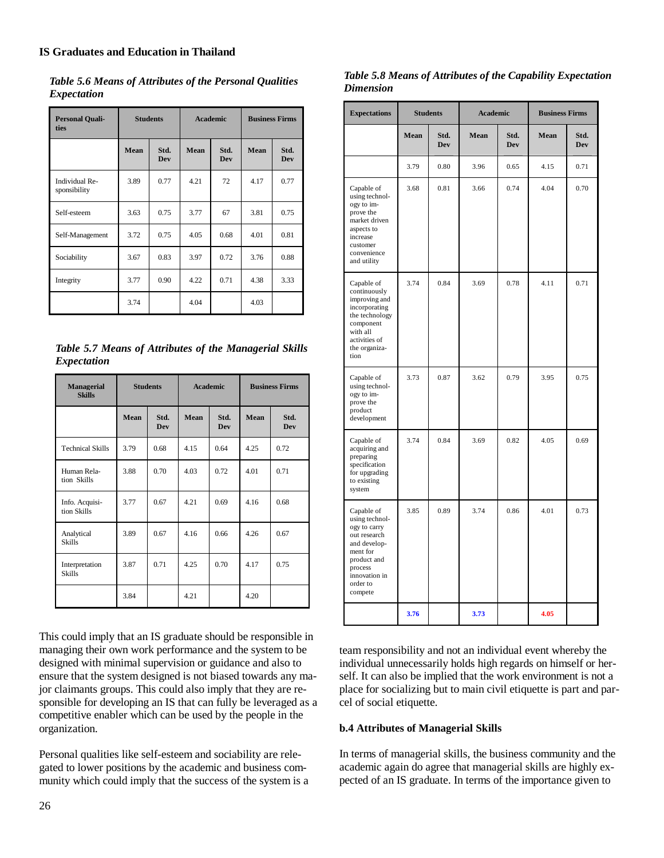*Table 5.6 Means of Attributes of the Personal Qualities Expectation*

| <b>Personal Quali-</b><br>ties        | <b>Students</b> |             | <b>Academic</b> |             | <b>Business Firms</b> |             |
|---------------------------------------|-----------------|-------------|-----------------|-------------|-----------------------|-------------|
|                                       | <b>Mean</b>     | Std.<br>Dev | Mean            | Std.<br>Dev | Mean                  | Std.<br>Dev |
| <b>Individual Re-</b><br>sponsibility | 3.89            | 0.77        | 4.21            | 72          | 4.17                  | 0.77        |
| Self-esteem                           | 3.63            | 0.75        | 3.77            | 67          | 3.81                  | 0.75        |
| Self-Management                       | 3.72            | 0.75        | 4.05            | 0.68        | 4.01                  | 0.81        |
| Sociability                           | 3.67            | 0.83        | 3.97            | 0.72        | 3.76                  | 0.88        |
| Integrity                             | 3.77            | 0.90        | 4.22            | 0.71        | 4.38                  | 3.33        |
|                                       | 3.74            |             | 4.04            |             | 4.03                  |             |

*Table 5.7 Means of Attributes of the Managerial Skills Expectation* 

| <b>Managerial</b><br><b>Skills</b> |      | <b>Students</b>    |      | <b>Academic</b>    |      | <b>Business Firms</b> |  |
|------------------------------------|------|--------------------|------|--------------------|------|-----------------------|--|
|                                    | Mean | Std.<br><b>Dev</b> | Mean | Std.<br><b>Dev</b> | Mean | Std.<br><b>Dev</b>    |  |
| <b>Technical Skills</b>            | 3.79 | 0.68               | 4.15 | 0.64               | 4.25 | 0.72                  |  |
| Human Rela-<br>tion Skills         | 3.88 | 0.70               | 4.03 | 0.72               | 4.01 | 0.71                  |  |
| Info. Acquisi-<br>tion Skills      | 3.77 | 0.67               | 4.21 | 0.69               | 4.16 | 0.68                  |  |
| Analytical<br><b>Skills</b>        | 3.89 | 0.67               | 4.16 | 0.66               | 4.26 | 0.67                  |  |
| Interpretation<br><b>Skills</b>    | 3.87 | 0.71               | 4.25 | 0.70               | 4.17 | 0.75                  |  |
|                                    | 3.84 |                    | 4.21 |                    | 4.20 |                       |  |

This could imply that an IS graduate should be responsible in managing their own work performance and the system to be designed with minimal supervision or guidance and also to ensure that the system designed is not biased towards any major claimants groups. This could also imply that they are responsible for developing an IS that can fully be leveraged as a competitive enabler which can be used by the people in the organization.

Personal qualities like self-esteem and sociability are relegated to lower positions by the academic and business community which could imply that the success of the system is a

| Table 5.8 Means of Attributes of the Capability Expectation |  |
|-------------------------------------------------------------|--|
| Dimension                                                   |  |

| <b>Expectations</b>                                                                                                                                        | <b>Students</b> |             |             | <b>Academic</b> |             | <b>Business Firms</b> |  |
|------------------------------------------------------------------------------------------------------------------------------------------------------------|-----------------|-------------|-------------|-----------------|-------------|-----------------------|--|
|                                                                                                                                                            | <b>Mean</b>     | Std.<br>Dev | <b>Mean</b> | Std.<br>Dev     | <b>Mean</b> | Std.<br>Dev           |  |
|                                                                                                                                                            | 3.79            | 0.80        | 3.96        | 0.65            | 4.15        | 0.71                  |  |
| Capable of<br>using technol-<br>ogy to im-<br>prove the<br>market driven<br>aspects to<br>increase<br>customer<br>convenience<br>and utility               | 3.68            | 0.81        | 3.66        | 0.74            | 4.04        | 0.70                  |  |
| Capable of<br>continuously<br>improving and<br>incorporating<br>the technology<br>component<br>with all<br>activities of<br>the organiza-<br>tion          | 3.74            | 0.84        | 3.69        | 0.78            | 4.11        | 0.71                  |  |
| Capable of<br>using technol-<br>ogy to im-<br>prove the<br>product<br>development                                                                          | 3.73            | 0.87        | 3.62        | 0.79            | 3.95        | 0.75                  |  |
| Capable of<br>acquiring and<br>preparing<br>specification<br>for upgrading<br>to existing<br>system                                                        | 3.74            | 0.84        | 3.69        | 0.82            | 4.05        | 0.69                  |  |
| Capable of<br>using technol-<br>ogy to carry<br>out research<br>and develop-<br>ment for<br>product and<br>process<br>innovation in<br>order to<br>compete | 3.85            | 0.89        | 3.74        | 0.86            | 4.01        | 0.73                  |  |
|                                                                                                                                                            | 3.76            |             | 3.73        |                 | 4.05        |                       |  |

team responsibility and not an individual event whereby the individual unnecessarily holds high regards on himself or herself. It can also be implied that the work environment is not a place for socializing but to main civil etiquette is part and parcel of social etiquette.

### **b.4 Attributes of Managerial Skills**

In terms of managerial skills, the business community and the academic again do agree that managerial skills are highly expected of an IS graduate. In terms of the importance given to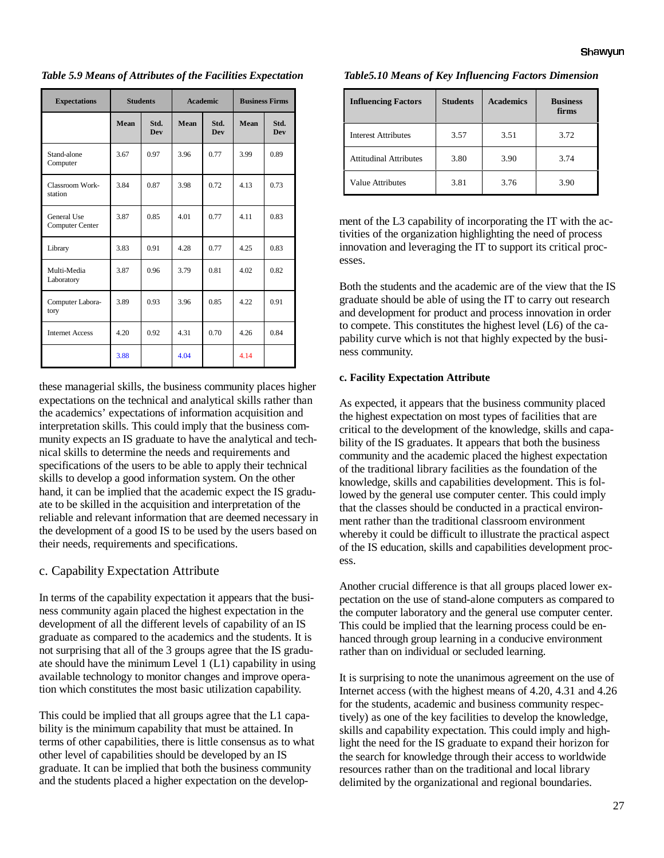**Expectations Students Academic Business Firms Mean Std. Dev**  Mean Std. **Dev**  Mean Std. **Dev**  Stand-alone Computer 3.67 0.97 3.96 0.77 3.99 0.89 Classroom Workstation 3.84 0.87 3.98 0.72 4.13 0.73 General Use Computer Center 3.87 0.85 4.01 0.77 4.11 0.83 Library 13.83 0.91 4.28 0.77 4.25 0.83 Multi-Media Laboratory 3.87 0.96 3.79 0.81 4.02 0.82 Computer Laboratory 3.89 0.93 3.96 0.85 4.22 0.91 Internet Access 4.20 0.92 4.31 0.70 4.26 0.84 3.88 4.04 4.14

*Table 5.9 Means of Attributes of the Facilities Expectation* 

these managerial skills, the business community places higher expectations on the technical and analytical skills rather than the academics' expectations of information acquisition and interpretation skills. This could imply that the business community expects an IS graduate to have the analytical and technical skills to determine the needs and requirements and specifications of the users to be able to apply their technical skills to develop a good information system. On the other hand, it can be implied that the academic expect the IS graduate to be skilled in the acquisition and interpretation of the reliable and relevant information that are deemed necessary in the development of a good IS to be used by the users based on their needs, requirements and specifications.

### c. Capability Expectation Attribute

In terms of the capability expectation it appears that the business community again placed the highest expectation in the development of all the different levels of capability of an IS graduate as compared to the academics and the students. It is not surprising that all of the 3 groups agree that the IS graduate should have the minimum Level 1 (L1) capability in using available technology to monitor changes and improve operation which constitutes the most basic utilization capability.

This could be implied that all groups agree that the L1 capability is the minimum capability that must be attained. In terms of other capabilities, there is little consensus as to what other level of capabilities should be developed by an IS graduate. It can be implied that both the business community and the students placed a higher expectation on the develop-

| <b>Influencing Factors</b>    | <b>Students</b> | <b>Academics</b> | <b>Business</b><br>firms |
|-------------------------------|-----------------|------------------|--------------------------|
| <b>Interest Attributes</b>    | 3.57            | 3.51             | 3.72                     |
| <b>Attitudinal Attributes</b> | 3.80            | 3.90             | 3.74                     |
| Value Attributes              | 3.81            | 3.76             | 3.90                     |

*Table5.10 Means of Key Influencing Factors Dimension*

ment of the L3 capability of incorporating the IT with the activities of the organization highlighting the need of process innovation and leveraging the IT to support its critical processes.

Both the students and the academic are of the view that the IS graduate should be able of using the IT to carry out research and development for product and process innovation in order to compete. This constitutes the highest level (L6) of the capability curve which is not that highly expected by the business community.

#### **c. Facility Expectation Attribute**

As expected, it appears that the business community placed the highest expectation on most types of facilities that are critical to the development of the knowledge, skills and capability of the IS graduates. It appears that both the business community and the academic placed the highest expectation of the traditional library facilities as the foundation of the knowledge, skills and capabilities development. This is followed by the general use computer center. This could imply that the classes should be conducted in a practical environment rather than the traditional classroom environment whereby it could be difficult to illustrate the practical aspect of the IS education, skills and capabilities development process.

Another crucial difference is that all groups placed lower expectation on the use of stand-alone computers as compared to the computer laboratory and the general use computer center. This could be implied that the learning process could be enhanced through group learning in a conducive environment rather than on individual or secluded learning.

It is surprising to note the unanimous agreement on the use of Internet access (with the highest means of 4.20, 4.31 and 4.26 for the students, academic and business community respectively) as one of the key facilities to develop the knowledge, skills and capability expectation. This could imply and highlight the need for the IS graduate to expand their horizon for the search for knowledge through their access to worldwide resources rather than on the traditional and local library delimited by the organizational and regional boundaries.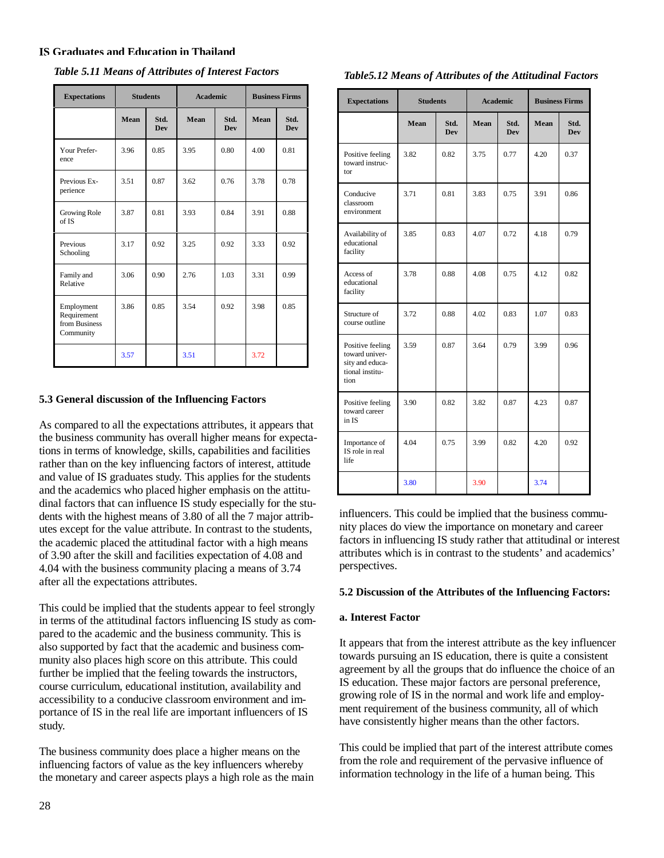| <b>Expectations</b>                                     | <b>Students</b> |                    | <b>Academic</b> |                    | <b>Business Firms</b> |                    |
|---------------------------------------------------------|-----------------|--------------------|-----------------|--------------------|-----------------------|--------------------|
|                                                         | Mean            | Std.<br><b>Dev</b> | Mean            | Std.<br><b>Dev</b> | Mean                  | Std.<br><b>Dev</b> |
| Your Prefer-<br>ence                                    | 3.96            | 0.85               | 3.95            | 0.80               | 4.00                  | 0.81               |
| Previous Ex-<br>perience                                | 3.51            | 0.87               | 3.62            | 0.76               | 3.78                  | 0.78               |
| Growing Role<br>of IS                                   | 3.87            | 0.81               | 3.93            | 0.84               | 3.91                  | 0.88               |
| Previous<br>Schooling                                   | 3.17            | 0.92               | 3.25            | 0.92               | 3.33                  | 0.92               |
| Family and<br>Relative                                  | 3.06            | 0.90               | 2.76            | 1.03               | 3.31                  | 0.99               |
| Employment<br>Requirement<br>from Business<br>Community | 3.86            | 0.85               | 3.54            | 0.92               | 3.98                  | 0.85               |
|                                                         | 3.57            |                    | 3.51            |                    | 3.72                  |                    |

|  | Table 5.11 Means of Attributes of Interest Factors |  |
|--|----------------------------------------------------|--|
|  |                                                    |  |

### **5.3 General discussion of the Influencing Factors**

As compared to all the expectations attributes, it appears that the business community has overall higher means for expectations in terms of knowledge, skills, capabilities and facilities rather than on the key influencing factors of interest, attitude and value of IS graduates study. This applies for the students and the academics who placed higher emphasis on the attitudinal factors that can influence IS study especially for the students with the highest means of 3.80 of all the 7 major attributes except for the value attribute. In contrast to the students, the academic placed the attitudinal factor with a high means of 3.90 after the skill and facilities expectation of 4.08 and 4.04 with the business community placing a means of 3.74 after all the expectations attributes.

This could be implied that the students appear to feel strongly in terms of the attitudinal factors influencing IS study as compared to the academic and the business community. This is also supported by fact that the academic and business community also places high score on this attribute. This could further be implied that the feeling towards the instructors, course curriculum, educational institution, availability and accessibility to a conducive classroom environment and importance of IS in the real life are important influencers of IS study.

The business community does place a higher means on the influencing factors of value as the key influencers whereby the monetary and career aspects plays a high role as the main

|  | Table5.12 Means of Attributes of the Attitudinal Factors |  |  |
|--|----------------------------------------------------------|--|--|
|  |                                                          |  |  |

| <b>Expectations</b>                                                              | <b>Students</b> |                    | <b>Academic</b> |                    | <b>Business Firms</b> |                    |
|----------------------------------------------------------------------------------|-----------------|--------------------|-----------------|--------------------|-----------------------|--------------------|
|                                                                                  | Mean            | Std.<br><b>Dev</b> | Mean            | Std.<br><b>Dev</b> | Mean                  | Std.<br><b>Dev</b> |
| Positive feeling<br>toward instruc-<br>tor                                       | 3.82            | 0.82               | 3.75            | 0.77               | 4.20                  | 0.37               |
| Conducive<br>classroom<br>environment                                            | 3.71            | 0.81               | 3.83            | 0.75               | 3.91                  | 0.86               |
| Availability of<br>educational<br>facility                                       | 3.85            | 0.83               | 4.07            | 0.72               | 4.18                  | 0.79               |
| Access of<br>educational<br>facility                                             | 3.78            | 0.88               | 4.08            | 0.75               | 4.12                  | 0.82               |
| Structure of<br>course outline                                                   | 3.72            | 0.88               | 4.02            | 0.83               | 1.07                  | 0.83               |
| Positive feeling<br>toward univer-<br>sity and educa-<br>tional institu-<br>tion | 3.59            | 0.87               | 3.64            | 0.79               | 3.99                  | 0.96               |
| Positive feeling<br>toward career<br>in IS                                       | 3.90            | 0.82               | 3.82            | 0.87               | 4.23                  | 0.87               |
| Importance of<br>IS role in real<br>life                                         | 4.04            | 0.75               | 3.99            | 0.82               | 4.20                  | 0.92               |
|                                                                                  | 3.80            |                    | 3.90            |                    | 3.74                  |                    |

influencers. This could be implied that the business community places do view the importance on monetary and career factors in influencing IS study rather that attitudinal or interest attributes which is in contrast to the students' and academics' perspectives.

#### **5.2 Discussion of the Attributes of the Influencing Factors:**

### **a. Interest Factor**

It appears that from the interest attribute as the key influencer towards pursuing an IS education, there is quite a consistent agreement by all the groups that do influence the choice of an IS education. These major factors are personal preference, growing role of IS in the normal and work life and employment requirement of the business community, all of which have consistently higher means than the other factors.

This could be implied that part of the interest attribute comes from the role and requirement of the pervasive influence of information technology in the life of a human being. This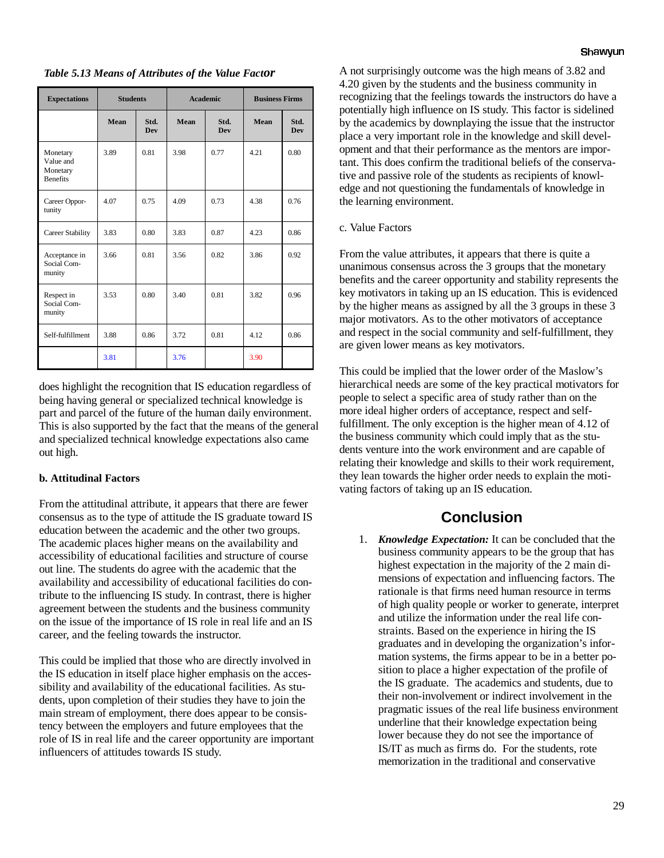*Table 5.13 Means of Attributes of the Value Factor* 

| <b>Expectations</b>                                  | <b>Students</b> |                    | <b>Academic</b> |                    | <b>Business Firms</b> |                    |
|------------------------------------------------------|-----------------|--------------------|-----------------|--------------------|-----------------------|--------------------|
|                                                      | Mean            | Std.<br><b>Dev</b> | Mean            | Std.<br><b>Dev</b> | Mean                  | Std.<br><b>Dev</b> |
| Monetary<br>Value and<br>Monetary<br><b>Benefits</b> | 3.89            | 0.81               | 3.98            | 0.77               | 4 2 1                 | 0.80               |
| Career Oppor-<br>tunity                              | 4.07            | 0.75               | 4.09            | 0.73               | 4.38                  | 0.76               |
| Career Stability                                     | 3.83            | 0.80               | 3.83            | 0.87               | 4.23                  | 0.86               |
| Acceptance in<br>Social Com-<br>munity               | 3.66            | 0.81               | 3.56            | 0.82               | 3.86                  | 0.92               |
| Respect in<br>Social Com-<br>munity                  | 3.53            | 0.80               | 3.40            | 0.81               | 3.82                  | 0.96               |
| Self-fulfillment                                     | 3.88            | 0.86               | 3.72            | 0.81               | 4.12                  | 0.86               |
|                                                      | 3.81            |                    | 3.76            |                    | 3.90                  |                    |

does highlight the recognition that IS education regardless of being having general or specialized technical knowledge is part and parcel of the future of the human daily environment. This is also supported by the fact that the means of the general and specialized technical knowledge expectations also came out high.

#### **b. Attitudinal Factors**

From the attitudinal attribute, it appears that there are fewer consensus as to the type of attitude the IS graduate toward IS education between the academic and the other two groups. The academic places higher means on the availability and accessibility of educational facilities and structure of course out line. The students do agree with the academic that the availability and accessibility of educational facilities do contribute to the influencing IS study. In contrast, there is higher agreement between the students and the business community on the issue of the importance of IS role in real life and an IS career, and the feeling towards the instructor.

This could be implied that those who are directly involved in the IS education in itself place higher emphasis on the accessibility and availability of the educational facilities. As students, upon completion of their studies they have to join the main stream of employment, there does appear to be consistency between the employers and future employees that the role of IS in real life and the career opportunity are important influencers of attitudes towards IS study.

A not surprisingly outcome was the high means of 3.82 and 4.20 given by the students and the business community in recognizing that the feelings towards the instructors do have a potentially high influence on IS study. This factor is sidelined by the academics by downplaying the issue that the instructor place a very important role in the knowledge and skill development and that their performance as the mentors are important. This does confirm the traditional beliefs of the conservative and passive role of the students as recipients of knowledge and not questioning the fundamentals of knowledge in the learning environment.

### c. Value Factors

From the value attributes, it appears that there is quite a unanimous consensus across the 3 groups that the monetary benefits and the career opportunity and stability represents the key motivators in taking up an IS education. This is evidenced by the higher means as assigned by all the 3 groups in these 3 major motivators. As to the other motivators of acceptance and respect in the social community and self-fulfillment, they are given lower means as key motivators.

This could be implied that the lower order of the Maslow's hierarchical needs are some of the key practical motivators for people to select a specific area of study rather than on the more ideal higher orders of acceptance, respect and selffulfillment. The only exception is the higher mean of 4.12 of the business community which could imply that as the students venture into the work environment and are capable of relating their knowledge and skills to their work requirement, they lean towards the higher order needs to explain the motivating factors of taking up an IS education.

## **Conclusion**

1. *Knowledge Expectation:* It can be concluded that the business community appears to be the group that has highest expectation in the majority of the 2 main dimensions of expectation and influencing factors. The rationale is that firms need human resource in terms of high quality people or worker to generate, interpret and utilize the information under the real life constraints. Based on the experience in hiring the IS graduates and in developing the organization's information systems, the firms appear to be in a better position to place a higher expectation of the profile of the IS graduate. The academics and students, due to their non-involvement or indirect involvement in the pragmatic issues of the real life business environment underline that their knowledge expectation being lower because they do not see the importance of IS/IT as much as firms do. For the students, rote memorization in the traditional and conservative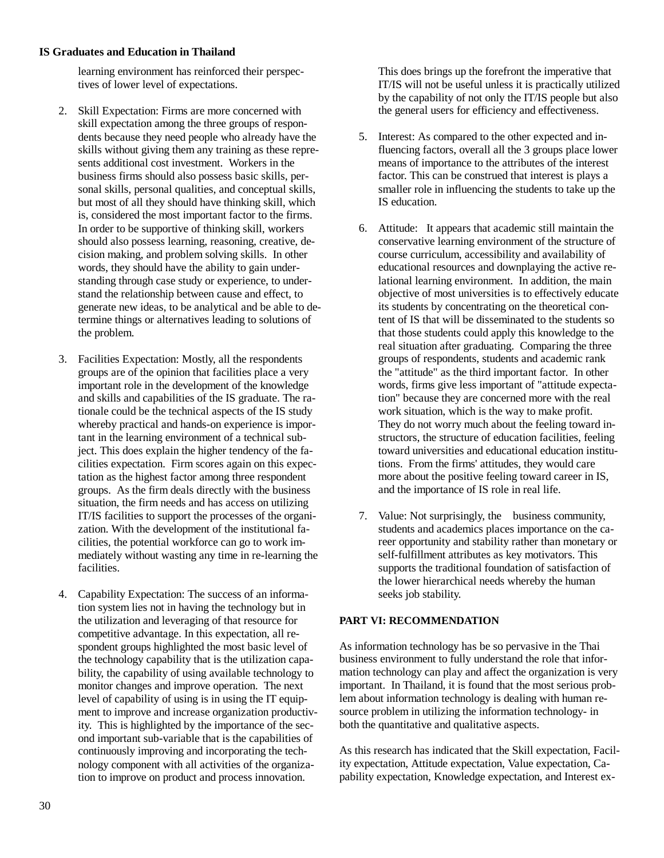learning environment has reinforced their perspectives of lower level of expectations.

- 2. Skill Expectation: Firms are more concerned with skill expectation among the three groups of respondents because they need people who already have the skills without giving them any training as these represents additional cost investment. Workers in the business firms should also possess basic skills, personal skills, personal qualities, and conceptual skills, but most of all they should have thinking skill, which is, considered the most important factor to the firms. In order to be supportive of thinking skill, workers should also possess learning, reasoning, creative, decision making, and problem solving skills. In other words, they should have the ability to gain understanding through case study or experience, to understand the relationship between cause and effect, to generate new ideas, to be analytical and be able to determine things or alternatives leading to solutions of the problem.
- 3. Facilities Expectation: Mostly, all the respondents groups are of the opinion that facilities place a very important role in the development of the knowledge and skills and capabilities of the IS graduate. The rationale could be the technical aspects of the IS study whereby practical and hands-on experience is important in the learning environment of a technical subject. This does explain the higher tendency of the facilities expectation. Firm scores again on this expectation as the highest factor among three respondent groups. As the firm deals directly with the business situation, the firm needs and has access on utilizing IT/IS facilities to support the processes of the organization. With the development of the institutional facilities, the potential workforce can go to work immediately without wasting any time in re-learning the facilities.
- 4. Capability Expectation: The success of an information system lies not in having the technology but in the utilization and leveraging of that resource for competitive advantage. In this expectation, all respondent groups highlighted the most basic level of the technology capability that is the utilization capability, the capability of using available technology to monitor changes and improve operation. The next level of capability of using is in using the IT equipment to improve and increase organization productivity. This is highlighted by the importance of the second important sub-variable that is the capabilities of continuously improving and incorporating the technology component with all activities of the organization to improve on product and process innovation.

This does brings up the forefront the imperative that IT/IS will not be useful unless it is practically utilized by the capability of not only the IT/IS people but also the general users for efficiency and effectiveness.

- 5. Interest: As compared to the other expected and influencing factors, overall all the 3 groups place lower means of importance to the attributes of the interest factor. This can be construed that interest is plays a smaller role in influencing the students to take up the IS education.
- 6. Attitude: It appears that academic still maintain the conservative learning environment of the structure of course curriculum, accessibility and availability of educational resources and downplaying the active relational learning environment. In addition, the main objective of most universities is to effectively educate its students by concentrating on the theoretical content of IS that will be disseminated to the students so that those students could apply this knowledge to the real situation after graduating. Comparing the three groups of respondents, students and academic rank the "attitude" as the third important factor. In other words, firms give less important of "attitude expectation" because they are concerned more with the real work situation, which is the way to make profit. They do not worry much about the feeling toward instructors, the structure of education facilities, feeling toward universities and educational education institutions. From the firms' attitudes, they would care more about the positive feeling toward career in IS, and the importance of IS role in real life.
- 7. Value: Not surprisingly, the business community, students and academics places importance on the career opportunity and stability rather than monetary or self-fulfillment attributes as key motivators. This supports the traditional foundation of satisfaction of the lower hierarchical needs whereby the human seeks job stability.

#### **PART VI: RECOMMENDATION**

As information technology has be so pervasive in the Thai business environment to fully understand the role that information technology can play and affect the organization is very important. In Thailand, it is found that the most serious problem about information technology is dealing with human resource problem in utilizing the information technology- in both the quantitative and qualitative aspects.

As this research has indicated that the Skill expectation, Facility expectation, Attitude expectation, Value expectation, Capability expectation, Knowledge expectation, and Interest ex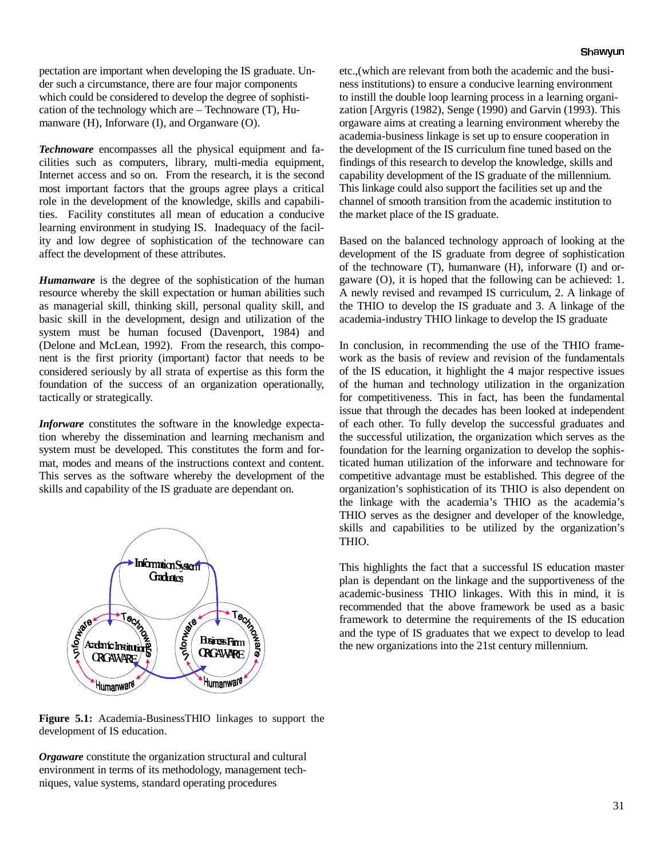pectation are important when developing the IS graduate. Under such a circumstance, there are four major components which could be considered to develop the degree of sophistication of the technology which are – Technoware (T), Humanware (H), Inforware (I), and Organware (O).

*Technoware* encompasses all the physical equipment and facilities such as computers, library, multi-media equipment, Internet access and so on. From the research, it is the second most important factors that the groups agree plays a critical role in the development of the knowledge, skills and capabilities. Facility constitutes all mean of education a conducive learning environment in studying IS. Inadequacy of the facility and low degree of sophistication of the technoware can affect the development of these attributes.

*Humanware* is the degree of the sophistication of the human resource whereby the skill expectation or human abilities such as managerial skill, thinking skill, personal quality skill, and basic skill in the development, design and utilization of the system must be human focused (Davenport, 1984) and (Delone and McLean, 1992). From the research, this component is the first priority (important) factor that needs to be considered seriously by all strata of expertise as this form the foundation of the success of an organization operationally, tactically or strategically.

*Inforware* constitutes the software in the knowledge expectation whereby the dissemination and learning mechanism and system must be developed. This constitutes the form and format, modes and means of the instructions context and content. This serves as the software whereby the development of the skills and capability of the IS graduate are dependant on.



**Figure 5.1:** Academia-BusinessTHIO linkages to support the development of IS education.

*Orgaware* constitute the organization structural and cultural environment in terms of its methodology, management techniques, value systems, standard operating procedures

etc.,(which are relevant from both the academic and the business institutions) to ensure a conducive learning environment to instill the double loop learning process in a learning organization [Argyris (1982), Senge (1990) and Garvin (1993). This orgaware aims at creating a learning environment whereby the academia-business linkage is set up to ensure cooperation in the development of the IS curriculum fine tuned based on the findings of this research to develop the knowledge, skills and capability development of the IS graduate of the millennium. This linkage could also support the facilities set up and the channel of smooth transition from the academic institution to the market place of the IS graduate.

Based on the balanced technology approach of looking at the development of the IS graduate from degree of sophistication of the technoware (T), humanware (H), inforware (I) and orgaware (O), it is hoped that the following can be achieved: 1. A newly revised and revamped IS curriculum, 2. A linkage of the THIO to develop the IS graduate and 3. A linkage of the academia-industry THIO linkage to develop the IS graduate

In conclusion, in recommending the use of the THIO framework as the basis of review and revision of the fundamentals of the IS education, it highlight the 4 major respective issues of the human and technology utilization in the organization for competitiveness. This in fact, has been the fundamental issue that through the decades has been looked at independent of each other. To fully develop the successful graduates and the successful utilization, the organization which serves as the foundation for the learning organization to develop the sophisticated human utilization of the inforware and technoware for competitive advantage must be established. This degree of the organization's sophistication of its THIO is also dependent on the linkage with the academia's THIO as the academia's THIO serves as the designer and developer of the knowledge, skills and capabilities to be utilized by the organization's THIO.

This highlights the fact that a successful IS education master plan is dependant on the linkage and the supportiveness of the academic-business THIO linkages. With this in mind, it is recommended that the above framework be used as a basic framework to determine the requirements of the IS education and the type of IS graduates that we expect to develop to lead Focosy Technology Technology of Technology of Technology of Technology of Technology of Technology of Technology and the type of IS graduates that we expect to develop the new organizations into the 21st century millennium